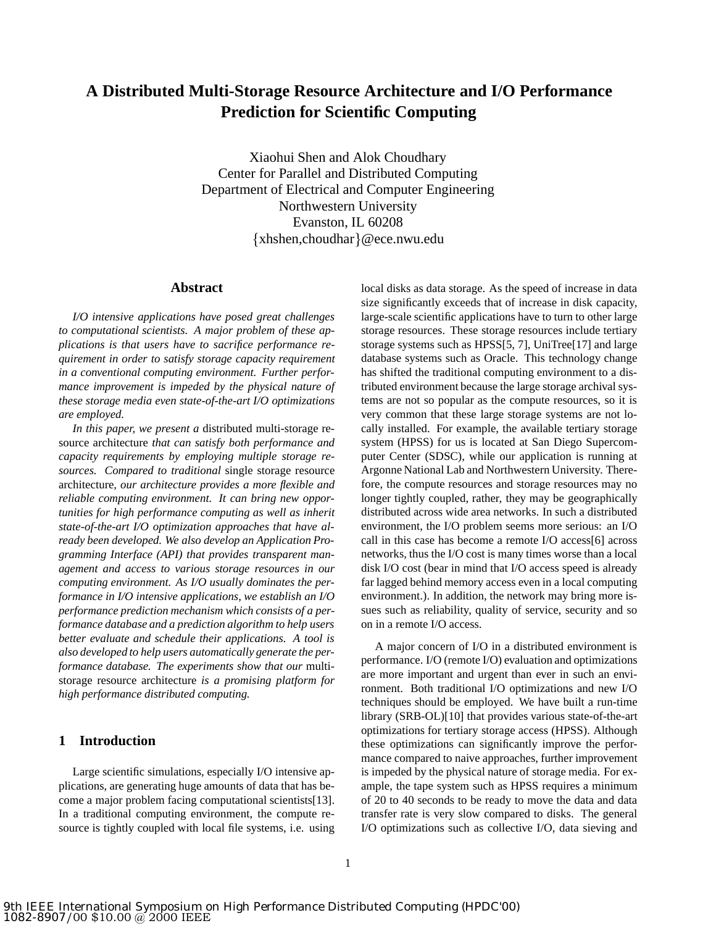# **A Distributed Multi-Storage Resource Architecture and I/O Performance Prediction for Scientific Computing**

Xiaohui Shen and Alok Choudhary Center for Parallel and Distributed Computing Department of Electrical and Computer Engineering Northwestern University Evanston, IL 60208  $\{xhshen, choudhar\}$ @ece.nwu.edu

### **Abstract**

*I/O intensive applications have posed great challenges to computational scientists. A major problem of these applications is that users have to sacrifice performance requirement in order to satisfy storage capacity requirement in a conventional computing environment. Further performance improvement is impeded by the physical nature of these storage media even state-of-the-art I/O optimizations are employed.*

*In this paper, we present a* distributed multi-storage resource architecture *that can satisfy both performance and capacity requirements by employing multiple storage resources. Compared to traditional* single storage resource architecture*, our architecture provides a more flexible and reliable computing environment. It can bring new opportunities for high performance computing as well as inherit state-of-the-art I/O optimization approaches that have already been developed. We also develop an Application Programming Interface (API) that provides transparent management and access to various storage resources in our computing environment. As I/O usually dominates the performance in I/O intensive applications, we establish an I/O performance prediction mechanism which consists of a performance database and a prediction algorithm to help users better evaluate and schedule their applications. A tool is also developed to help users automatically generate the performance database. The experiments show that our* multistorage resource architecture *is a promising platform for high performance distributed computing.*

### **1 Introduction**

Large scientific simulations, especially I/O intensive applications, are generating huge amounts of data that has become a major problem facing computational scientists[13]. In a traditional computing environment, the compute resource is tightly coupled with local file systems, i.e. using local disks as data storage. As the speed of increase in data size significantly exceeds that of increase in disk capacity, large-scale scientific applications have to turn to other large storage resources. These storage resources include tertiary storage systems such as HPSS[5, 7], UniTree[17] and large database systems such as Oracle. This technology change has shifted the traditional computing environment to a distributed environment because the large storage archival systems are not so popular as the compute resources, so it is very common that these large storage systems are not locally installed. For example, the available tertiary storage system (HPSS) for us is located at San Diego Supercomputer Center (SDSC), while our application is running at Argonne National Lab and Northwestern University. Therefore, the compute resources and storage resources may no longer tightly coupled, rather, they may be geographically distributed across wide area networks. In such a distributed environment, the I/O problem seems more serious: an I/O call in this case has become a remote I/O access[6] across networks, thus the I/O cost is many times worse than a local disk I/O cost (bear in mind that I/O access speed is already far lagged behind memory access even in a local computing environment.). In addition, the network may bring more issues such as reliability, quality of service, security and so on in a remote I/O access.

A major concern of I/O in a distributed environment is performance. I/O (remote I/O) evaluation and optimizations are more important and urgent than ever in such an environment. Both traditional I/O optimizations and new I/O techniques should be employed. We have built a run-time library (SRB-OL)[10] that provides various state-of-the-art optimizations for tertiary storage access (HPSS). Although these optimizations can significantly improve the performance compared to naive approaches, further improvement is impeded by the physical nature of storage media. For example, the tape system such as HPSS requires a minimum of 20 to 40 seconds to be ready to move the data and data transfer rate is very slow compared to disks. The general I/O optimizations such as collective I/O, data sieving and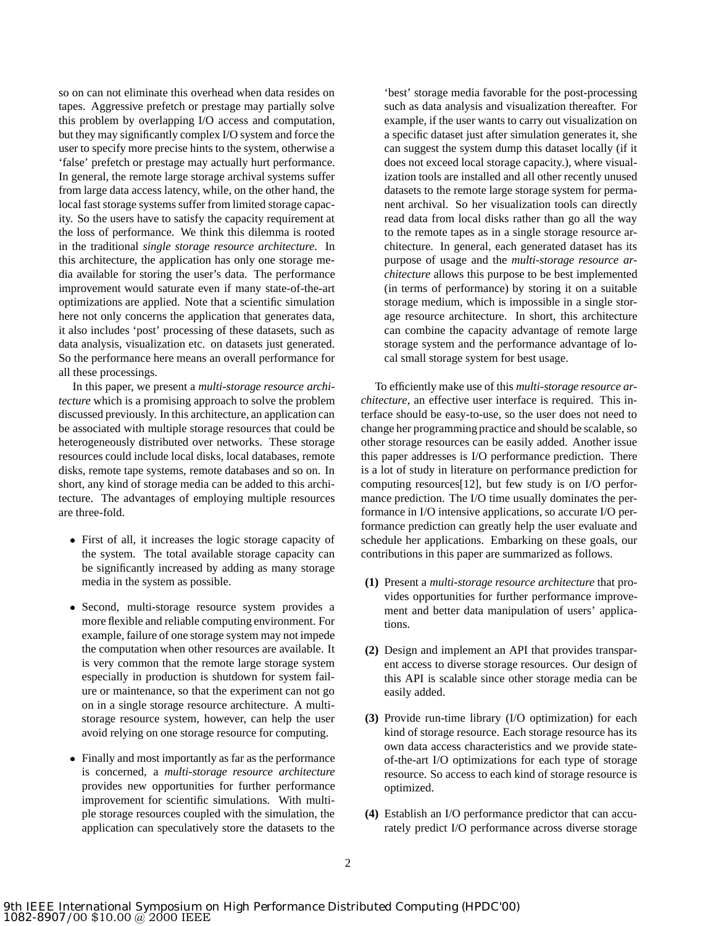so on can not eliminate this overhead when data resides on tapes. Aggressive prefetch or prestage may partially solve this problem by overlapping I/O access and computation, but they may significantly complex I/O system and force the user to specify more precise hints to the system, otherwise a 'false' prefetch or prestage may actually hurt performance. In general, the remote large storage archival systems suffer from large data access latency, while, on the other hand, the local fast storage systems suffer from limited storage capacity. So the users have to satisfy the capacity requirement at the loss of performance. We think this dilemma is rooted in the traditional *single storage resource architecture*. In this architecture, the application has only one storage media available for storing the user's data. The performance improvement would saturate even if many state-of-the-art optimizations are applied. Note that a scientific simulation here not only concerns the application that generates data, it also includes 'post' processing of these datasets, such as data analysis, visualization etc. on datasets just generated. So the performance here means an overall performance for all these processings.

In this paper, we present a *multi-storage resource architecture* which is a promising approach to solve the problem discussed previously. In this architecture, an application can be associated with multiple storage resources that could be heterogeneously distributed over networks. These storage resources could include local disks, local databases, remote disks, remote tape systems, remote databases and so on. In short, any kind of storage media can be added to this architecture. The advantages of employing multiple resources are three-fold.

- First of all, it increases the logic storage capacity of the system. The total available storage capacity can be significantly increased by adding as many storage media in the system as possible.
- Second, multi-storage resource system provides a more flexible and reliable computing environment. For example, failure of one storage system may not impede the computation when other resources are available. It is very common that the remote large storage system especially in production is shutdown for system failure or maintenance, so that the experiment can not go on in a single storage resource architecture. A multistorage resource system, however, can help the user avoid relying on one storage resource for computing.
- Finally and most importantly as far as the performance is concerned, a *multi-storage resource architecture* provides new opportunities for further performance improvement for scientific simulations. With multiple storage resources coupled with the simulation, the application can speculatively store the datasets to the

'best' storage media favorable for the post-processing such as data analysis and visualization thereafter. For example, if the user wants to carry out visualization on a specific dataset just after simulation generates it, she can suggest the system dump this dataset locally (if it does not exceed local storage capacity.), where visualization tools are installed and all other recently unused datasets to the remote large storage system for permanent archival. So her visualization tools can directly read data from local disks rather than go all the way to the remote tapes as in a single storage resource architecture. In general, each generated dataset has its purpose of usage and the *multi-storage resource architecture* allows this purpose to be best implemented (in terms of performance) by storing it on a suitable storage medium, which is impossible in a single storage resource architecture. In short, this architecture can combine the capacity advantage of remote large storage system and the performance advantage of local small storage system for best usage.

To efficiently make use of this *multi-storage resource architecture*, an effective user interface is required. This interface should be easy-to-use, so the user does not need to change her programming practice and should be scalable, so other storage resources can be easily added. Another issue this paper addresses is I/O performance prediction. There is a lot of study in literature on performance prediction for computing resources[12], but few study is on I/O performance prediction. The I/O time usually dominates the performance in I/O intensive applications, so accurate I/O performance prediction can greatly help the user evaluate and schedule her applications. Embarking on these goals, our contributions in this paper are summarized as follows.

- **(1)** Present a *multi-storage resource architecture* that provides opportunities for further performance improvement and better data manipulation of users' applications.
- **(2)** Design and implement an API that provides transparent access to diverse storage resources. Our design of this API is scalable since other storage media can be easily added.
- **(3)** Provide run-time library (I/O optimization) for each kind of storage resource. Each storage resource has its own data access characteristics and we provide stateof-the-art I/O optimizations for each type of storage resource. So access to each kind of storage resource is optimized.
- **(4)** Establish an I/O performance predictor that can accurately predict I/O performance across diverse storage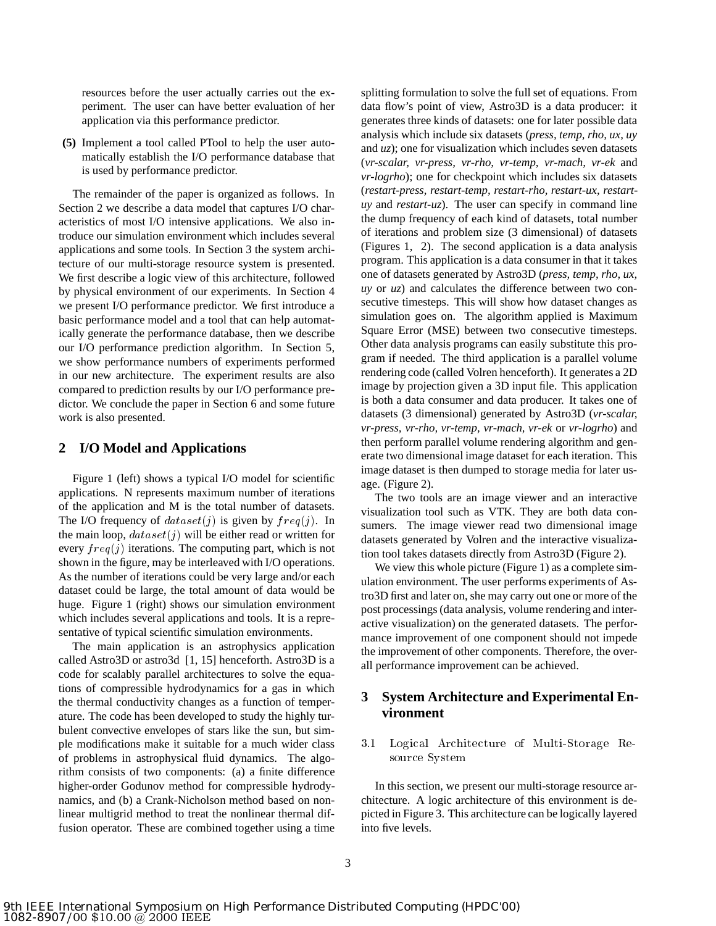resources before the user actually carries out the experiment. The user can have better evaluation of her application via this performance predictor.

**(5)** Implement a tool called PTool to help the user automatically establish the I/O performance database that is used by performance predictor.

The remainder of the paper is organized as follows. In Section 2 we describe a data model that captures I/O characteristics of most I/O intensive applications. We also introduce our simulation environment which includes several applications and some tools. In Section 3 the system architecture of our multi-storage resource system is presented. We first describe a logic view of this architecture, followed by physical environment of our experiments. In Section 4 we present I/O performance predictor. We first introduce a basic performance model and a tool that can help automatically generate the performance database, then we describe our I/O performance prediction algorithm. In Section 5, we show performance numbers of experiments performed in our new architecture. The experiment results are also compared to prediction results by our I/O performance predictor. We conclude the paper in Section 6 and some future work is also presented.

### **2 I/O Model and Applications**

Figure 1 (left) shows a typical I/O model for scientific applications. N represents maximum number of iterations of the application and M is the total number of datasets. The I/O frequency of  $dataset(j)$  is given by  $freq(j)$ . In the main loop,  $dataset(j)$  will be either read or written for every  $freq(j)$  iterations. The computing part, which is not shown in the figure, may be interleaved with I/O operations. As the number of iterations could be very large and/or each dataset could be large, the total amount of data would be huge. Figure 1 (right) shows our simulation environment which includes several applications and tools. It is a representative of typical scientific simulation environments.

The main application is an astrophysics application called Astro3D or astro3d [1, 15] henceforth. Astro3D is a code for scalably parallel architectures to solve the equations of compressible hydrodynamics for a gas in which the thermal conductivity changes as a function of temperature. The code has been developed to study the highly turbulent convective envelopes of stars like the sun, but simple modifications make it suitable for a much wider class of problems in astrophysical fluid dynamics. The algorithm consists of two components: (a) a finite difference higher-order Godunov method for compressible hydrodynamics, and (b) a Crank-Nicholson method based on nonlinear multigrid method to treat the nonlinear thermal diffusion operator. These are combined together using a time splitting formulation to solve the full set of equations. From data flow's point of view, Astro3D is a data producer: it generates three kinds of datasets: one for later possible data analysis which include six datasets (*press, temp, rho, ux, uy* and *uz*); one for visualization which includes seven datasets (*vr-scalar, vr-press, vr-rho, vr-temp, vr-mach, vr-ek* and *vr-logrho*); one for checkpoint which includes six datasets (*restart-press, restart-temp, restart-rho, restart-ux, restartuy* and *restart-uz*). The user can specify in command line the dump frequency of each kind of datasets, total number of iterations and problem size (3 dimensional) of datasets (Figures 1, 2). The second application is a data analysis program. This application is a data consumer in that it takes one of datasets generated by Astro3D (*press, temp, rho, ux, uy* or *uz*) and calculates the difference between two consecutive timesteps. This will show how dataset changes as simulation goes on. The algorithm applied is Maximum Square Error (MSE) between two consecutive timesteps. Other data analysis programs can easily substitute this program if needed. The third application is a parallel volume rendering code (called Volren henceforth). It generates a 2D image by projection given a 3D input file. This application is both a data consumer and data producer. It takes one of datasets (3 dimensional) generated by Astro3D (*vr-scalar, vr-press, vr-rho, vr-temp, vr-mach, vr-ek* or *vr-logrho*) and then perform parallel volume rendering algorithm and generate two dimensional image dataset for each iteration. This image dataset is then dumped to storage media for later usage. (Figure 2).

The two tools are an image viewer and an interactive visualization tool such as VTK. They are both data consumers. The image viewer read two dimensional image datasets generated by Volren and the interactive visualization tool takes datasets directly from Astro3D (Figure 2).

We view this whole picture (Figure 1) as a complete simulation environment. The user performs experiments of Astro3D first and later on, she may carry out one or more of the post processings (data analysis, volume rendering and interactive visualization) on the generated datasets. The performance improvement of one component should not impede the improvement of other components. Therefore, the overall performance improvement can be achieved.

# **3 System Architecture and Experimental Environment**

 $3.1$ Logical Architecture of Multi-Storage Resource System

In this section, we present our multi-storage resource architecture. A logic architecture of this environment is depicted in Figure 3. This architecture can be logically layered into five levels.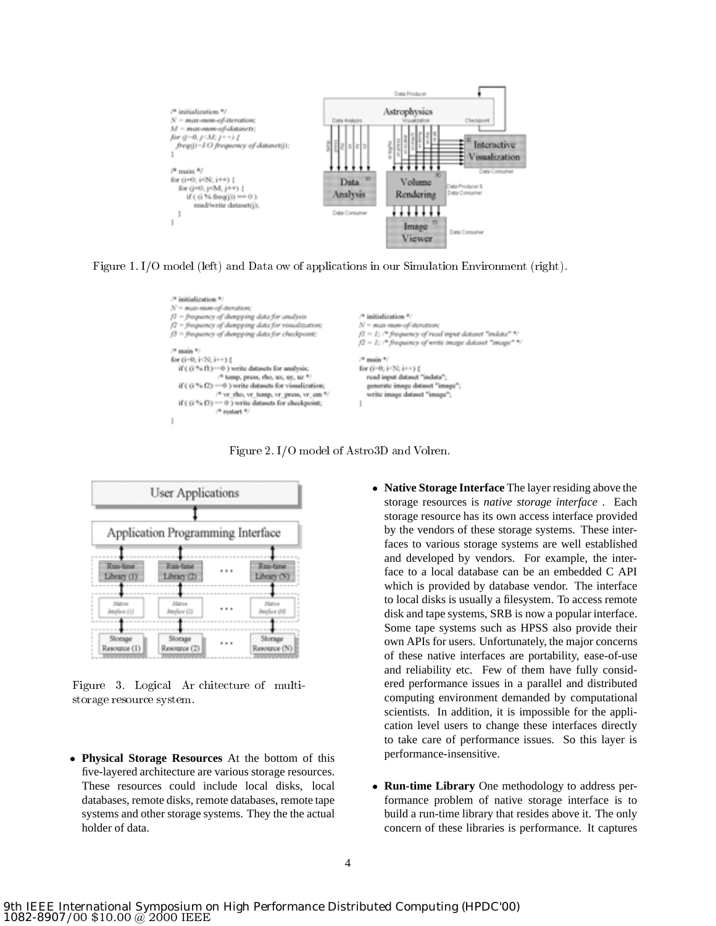

Figure 1. I/O model (left) and Data ow of applications in our Simulation Environment (right).



Figure 2. I/O model of Astro3D and Volren.

|                         | <b>User Applications</b>          |  |                                                    |  |
|-------------------------|-----------------------------------|--|----------------------------------------------------|--|
|                         |                                   |  |                                                    |  |
|                         | Application Programming Interface |  |                                                    |  |
| Run-fime<br>Library (1) | Run-firse<br>Library (2)          |  | Run-time<br>Library (N)<br><b>News</b><br>Jedev 00 |  |
| Matrixe<br>Jetefaor (1) | Mittive<br>Jeiglese (2)           |  |                                                    |  |
| Storage<br>Resource (1) | Storage<br>Resource (2)           |  | Storage<br>Resource (N)                            |  |

Figure 3. Logical Ar chitecture of multistorage resource system.

- **Physical Storage Resources** At the bottom of this five-layered architecture are various storage resources. These resources could include local disks, local databases, remote disks, remote databases, remote tape systems and other storage systems. They the the actual holder of data.
- **Native Storage Interface** The layer residing above the storage resources is *native storage interface* . Each storage resource has its own access interface provided by the vendors of these storage systems. These interfaces to various storage systems are well established and developed by vendors. For example, the interface to a local database can be an embedded C API which is provided by database vendor. The interface to local disks is usually a filesystem. To access remote disk and tape systems, SRB is now a popular interface. Some tape systems such as HPSS also provide their own APIs for users. Unfortunately, the major concerns of these native interfaces are portability, ease-of-use and reliability etc. Few of them have fully considered performance issues in a parallel and distributed computing environment demanded by computational scientists. In addition, it is impossible for the application level users to change these interfaces directly to take care of performance issues. So this layer is performance-insensitive.
- **Run-time Library** One methodology to address performance problem of native storage interface is to build a run-time library that resides above it. The only concern of these libraries is performance. It captures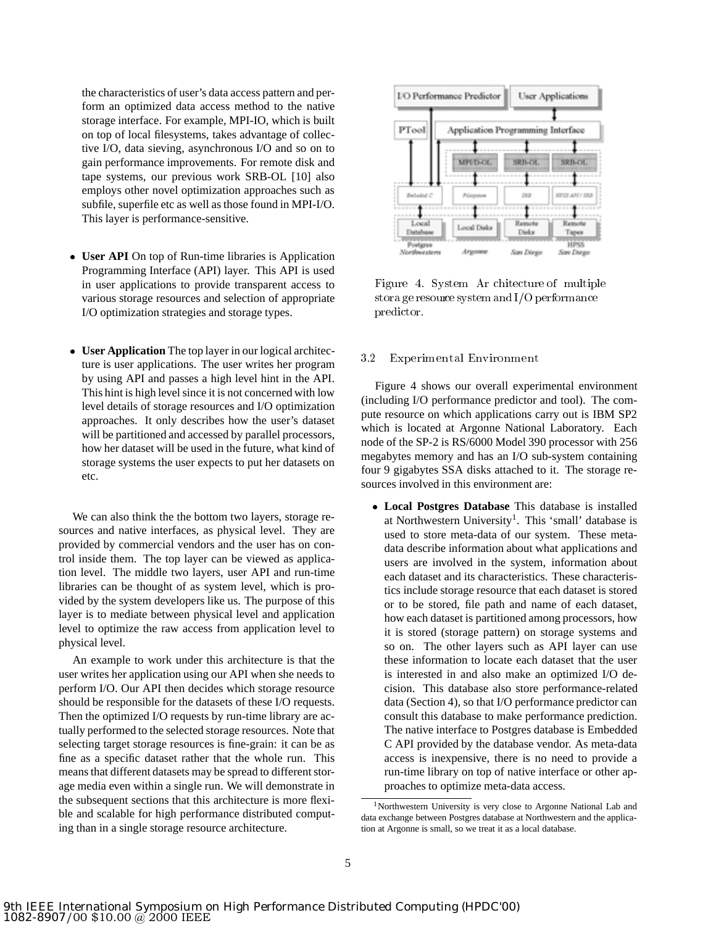the characteristics of user's data access pattern and perform an optimized data access method to the native storage interface. For example, MPI-IO, which is built on top of local filesystems, takes advantage of collective I/O, data sieving, asynchronous I/O and so on to gain performance improvements. For remote disk and tape systems, our previous work SRB-OL [10] also employs other novel optimization approaches such as subfile, superfile etc as well as those found in MPI-I/O. This layer is performance-sensitive.

- **User API** On top of Run-time libraries is Application Programming Interface (API) layer. This API is used in user applications to provide transparent access to various storage resources and selection of appropriate I/O optimization strategies and storage types.
- **User Application** The top layer in our logical architecture is user applications. The user writes her program by using API and passes a high level hint in the API. This hint is high level since it is not concerned with low level details of storage resources and I/O optimization approaches. It only describes how the user's dataset will be partitioned and accessed by parallel processors, how her dataset will be used in the future, what kind of storage systems the user expects to put her datasets on etc.

We can also think the the bottom two layers, storage resources and native interfaces, as physical level. They are provided by commercial vendors and the user has on control inside them. The top layer can be viewed as application level. The middle two layers, user API and run-time libraries can be thought of as system level, which is provided by the system developers like us. The purpose of this layer is to mediate between physical level and application level to optimize the raw access from application level to physical level.

An example to work under this architecture is that the user writes her application using our API when she needs to perform I/O. Our API then decides which storage resource should be responsible for the datasets of these I/O requests. Then the optimized I/O requests by run-time library are actually performed to the selected storage resources. Note that selecting target storage resources is fine-grain: it can be as fine as a specific dataset rather that the whole run. This means that different datasets may be spread to different storage media even within a single run. We will demonstrate in the subsequent sections that this architecture is more flexible and scalable for high performance distributed computing than in a single storage resource architecture.



Figure 4. System Ar chitecture of multiple stora ge resource system and  $I/O$  performance predictor.

#### 3.2 Experimental Environment

Figure 4 shows our overall experimental environment (including I/O performance predictor and tool). The compute resource on which applications carry out is IBM SP2 which is located at Argonne National Laboratory. Each node of the SP-2 is RS/6000 Model 390 processor with 256 megabytes memory and has an I/O sub-system containing four 9 gigabytes SSA disks attached to it. The storage resources involved in this environment are:

 **Local Postgres Database** This database is installed at Northwestern University<sup>1</sup>. This 'small' database is used to store meta-data of our system. These metadata describe information about what applications and users are involved in the system, information about each dataset and its characteristics. These characteristics include storage resource that each dataset is stored or to be stored, file path and name of each dataset, how each dataset is partitioned among processors, how it is stored (storage pattern) on storage systems and so on. The other layers such as API layer can use these information to locate each dataset that the user is interested in and also make an optimized I/O decision. This database also store performance-related data (Section 4), so that I/O performance predictor can consult this database to make performance prediction. The native interface to Postgres database is Embedded C API provided by the database vendor. As meta-data access is inexpensive, there is no need to provide a run-time library on top of native interface or other approaches to optimize meta-data access.

<sup>1</sup>Northwestern University is very close to Argonne National Lab and data exchange between Postgres database at Northwestern and the application at Argonne is small, so we treat it as a local database.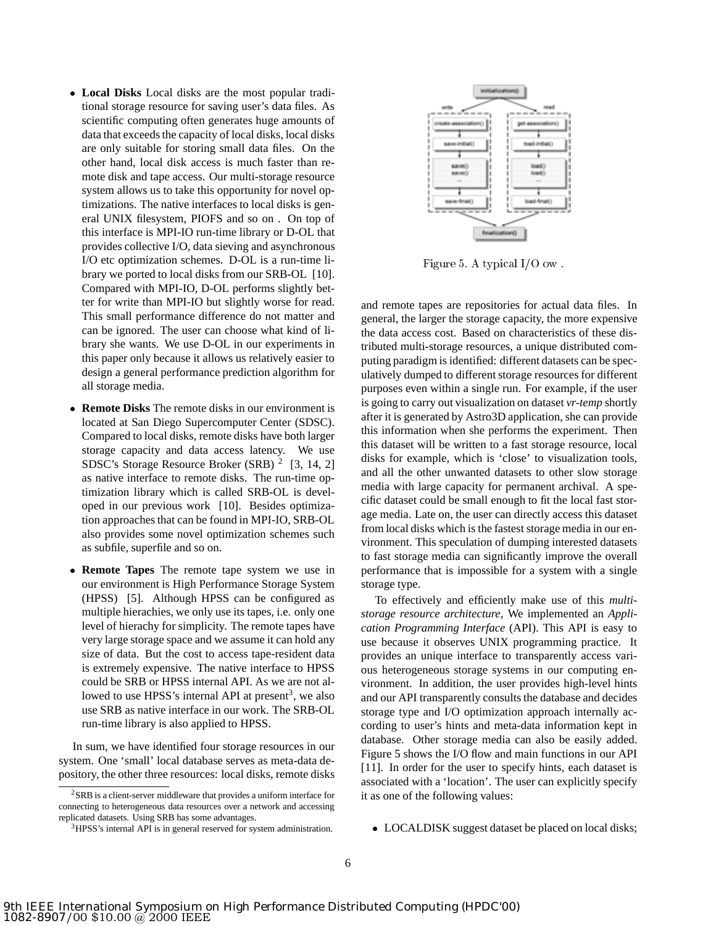- **Local Disks** Local disks are the most popular traditional storage resource for saving user's data files. As scientific computing often generates huge amounts of data that exceeds the capacity of local disks, local disks are only suitable for storing small data files. On the other hand, local disk access is much faster than remote disk and tape access. Our multi-storage resource system allows us to take this opportunity for novel optimizations. The native interfaces to local disks is general UNIX filesystem, PIOFS and so on . On top of this interface is MPI-IO run-time library or D-OL that provides collective I/O, data sieving and asynchronous I/O etc optimization schemes. D-OL is a run-time library we ported to local disks from our SRB-OL [10]. Compared with MPI-IO, D-OL performs slightly better for write than MPI-IO but slightly worse for read. This small performance difference do not matter and can be ignored. The user can choose what kind of library she wants. We use D-OL in our experiments in this paper only because it allows us relatively easier to design a general performance prediction algorithm for all storage media.
- **Remote Disks** The remote disks in our environment is located at San Diego Supercomputer Center (SDSC). Compared to local disks, remote disks have both larger storage capacity and data access latency. We use SDSC's Storage Resource Broker (SRB) <sup>2</sup> [3, 14, 2] as native interface to remote disks. The run-time optimization library which is called SRB-OL is developed in our previous work [10]. Besides optimization approaches that can be found in MPI-IO, SRB-OL also provides some novel optimization schemes such as subfile, superfile and so on.
- **Remote Tapes** The remote tape system we use in our environment is High Performance Storage System (HPSS) [5]. Although HPSS can be configured as multiple hierachies, we only use its tapes, i.e. only one level of hierachy for simplicity. The remote tapes have very large storage space and we assume it can hold any size of data. But the cost to access tape-resident data is extremely expensive. The native interface to HPSS could be SRB or HPSS internal API. As we are not allowed to use HPSS's internal API at present<sup>3</sup>, we also use SRB as native interface in our work. The SRB-OL run-time library is also applied to HPSS.

In sum, we have identified four storage resources in our system. One 'small' local database serves as meta-data depository, the other three resources: local disks, remote disks



Figure 5. A typical I/O ow .

and remote tapes are repositories for actual data files. In general, the larger the storage capacity, the more expensive the data access cost. Based on characteristics of these distributed multi-storage resources, a unique distributed computing paradigm is identified: different datasets can be speculatively dumped to different storage resources for different purposes even within a single run. For example, if the user is going to carry out visualization on dataset *vr-temp* shortly after it is generated by Astro3D application, she can provide this information when she performs the experiment. Then this dataset will be written to a fast storage resource, local disks for example, which is 'close' to visualization tools, and all the other unwanted datasets to other slow storage media with large capacity for permanent archival. A specific dataset could be small enough to fit the local fast storage media. Late on, the user can directly access this dataset from local disks which is the fastest storage media in our environment. This speculation of dumping interested datasets to fast storage media can significantly improve the overall performance that is impossible for a system with a single storage type.

To effectively and efficiently make use of this *multistorage resource architecture*, We implemented an *Application Programming Interface* (API). This API is easy to use because it observes UNIX programming practice. It provides an unique interface to transparently access various heterogeneous storage systems in our computing environment. In addition, the user provides high-level hints and our API transparently consults the database and decides storage type and I/O optimization approach internally according to user's hints and meta-data information kept in database. Other storage media can also be easily added. Figure 5 shows the I/O flow and main functions in our API [11]. In order for the user to specify hints, each dataset is associated with a 'location'. The user can explicitly specify it as one of the following values:

LOCALDISK suggest dataset be placed on local disks;

<sup>2</sup>SRB is a client-server middleware that provides a uniform interface for connecting to heterogeneous data resources over a network and accessing replicated datasets. Using SRB has some advantages.

<sup>&</sup>lt;sup>3</sup>HPSS's internal API is in general reserved for system administration.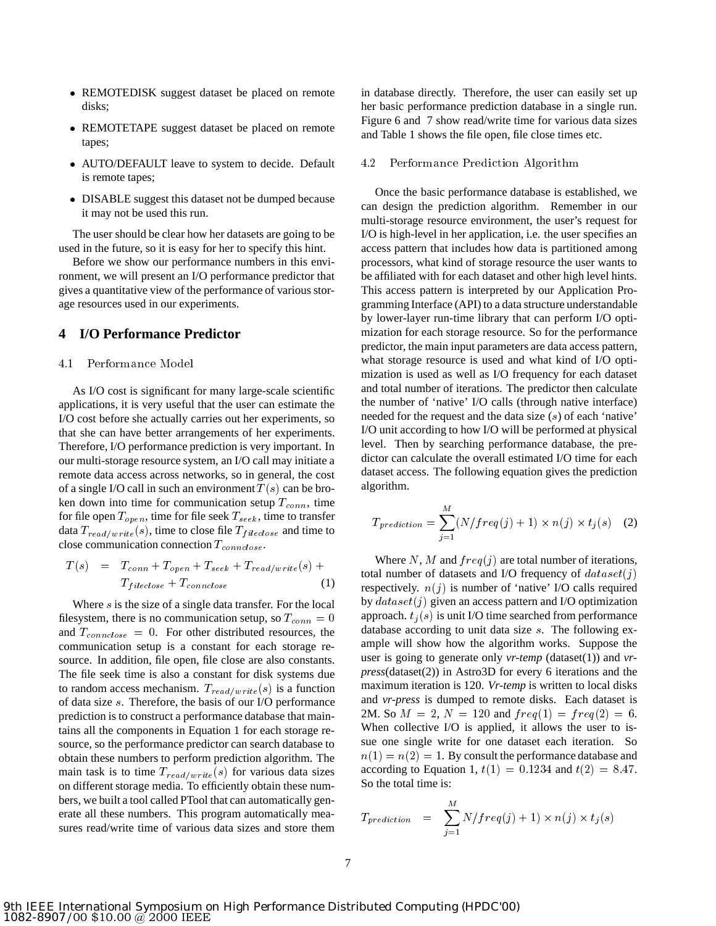- REMOTEDISK suggest dataset be placed on remote disks;
- REMOTETAPE suggest dataset be placed on remote tapes;
- AUTO/DEFAULT leave to system to decide. Default is remote tapes;
- DISABLE suggest this dataset not be dumped because it may not be used this run.

The user should be clear how her datasets are going to be used in the future, so it is easy for her to specify this hint.

Before we show our performance numbers in this environment, we will present an I/O performance predictor that gives a quantitative view of the performance of various storage resources used in our experiments.

# **4 I/O Performance Predictor**

#### 4.1 Performance Model

As I/O cost is significant for many large-scale scientific applications, it is very useful that the user can estimate the I/O cost before she actually carries out her experiments, so that she can have better arrangements of her experiments. Therefore, I/O performance prediction is very important. In our multi-storage resource system, an I/O call may initiate a remote data access across networks, so in general, the cost of a single I/O call in such an environment  $T(s)$  can be broken down into time for communication setup  $T_{conn}$ , time for file open  $T_{open}$ , time for file seek  $T_{seek}$ , time to transfer data  $T_{read/write}(s)$ , time to close file  $T_{fileclose}$  and time to close communication connection  $T_{့$ 

$$
T(s) = T_{conn} + T_{open} + T_{seek} + T_{read/write}(s) + \text{total in}
$$
  

$$
T_{fileclose} + T_{connclose} \qquad (1)
$$

Where  $s$  is the size of a single data transfer. For the local filesystem, there is no communication setup, so  $T_{conn} = 0$ and  $T_{connectose} = 0$ . For other distributed resources, the communication setup is a constant for each storage resource. In addition, file open, file close are also constants. The file seek time is also a constant for disk systems due to random access mechanism.  $T_{read/write}(s)$  is a function of data size <sup>s</sup>. Therefore, the basis of our I/O performance prediction is to construct a performance database that maintains all the components in Equation 1 for each storage resource, so the performance predictor can search database to obtain these numbers to perform prediction algorithm. The main task is to time  $T_{read/write}(s)$  for various data sizes on different storage media. To efficiently obtain these numbers, we built a tool called PTool that can automatically generate all these numbers. This program automatically measures read/write time of various data sizes and store them

in database directly. Therefore, the user can easily set up her basic performance prediction database in a single run. Figure 6 and 7 show read/write time for various data sizes and Table 1 shows the file open, file close times etc.

#### 4.2 Performance Prediction Algorithm

Once the basic performance database is established, we can design the prediction algorithm. Remember in our multi-storage resource environment, the user's request for I/O is high-level in her application, i.e. the user specifies an access pattern that includes how data is partitioned among processors, what kind of storage resource the user wants to be affiliated with for each dataset and other high level hints. This access pattern is interpreted by our Application Programming Interface (API) to a data structure understandable by lower-layer run-time library that can perform I/O optimization for each storage resource. So for the performance predictor, the main input parameters are data access pattern, what storage resource is used and what kind of I/O optimization is used as well as I/O frequency for each dataset and total number of iterations. The predictor then calculate the number of 'native' I/O calls (through native interface) needed for the request and the data size (s) of each 'native' I/O unit according to how I/O will be performed at physical level. Then by searching performance database, the predictor can calculate the overall estimated I/O time for each dataset access. The following equation gives the prediction algorithm.

$$
T_{prediction} = \sum_{j=1}^{M} (N/freq(j) + 1) \times n(j) \times t_j(s)
$$
 (2)

Where N, M and  $freq(j)$  are total number of iterations, total number of datasets and I/O frequency of  $dataset(j)$ respectively.  $n(j)$  is number of 'native' I/O calls required by  $dataset(j)$  given an access pattern and I/O optimization approach.  $t_i(s)$  is unit I/O time searched from performance database according to unit data size <sup>s</sup>. The following example will show how the algorithm works. Suppose the user is going to generate only *vr-temp* (dataset(1)) and *vrpress*(dataset(2)) in Astro3D for every 6 iterations and the maximum iteration is 120. *Vr-temp* is written to local disks and *vr-press* is dumped to remote disks. Each dataset is 2M. So  $M = 2$ ,  $N = 120$  and  $freq(1) = freq(2) = 6$ . When collective I/O is applied, it allows the user to issue one single write for one dataset each iteration. So  $n(1) = n(2) = 1$ . By consult the performance database and according to Equation 1,  $t(1) = 0.1234$  and  $t(2) = 8.47$ . So the total time is:

$$
T_{prediction} = \sum_{j=1}^{M} N/freq(j) + 1) \times n(j) \times t_j(s)
$$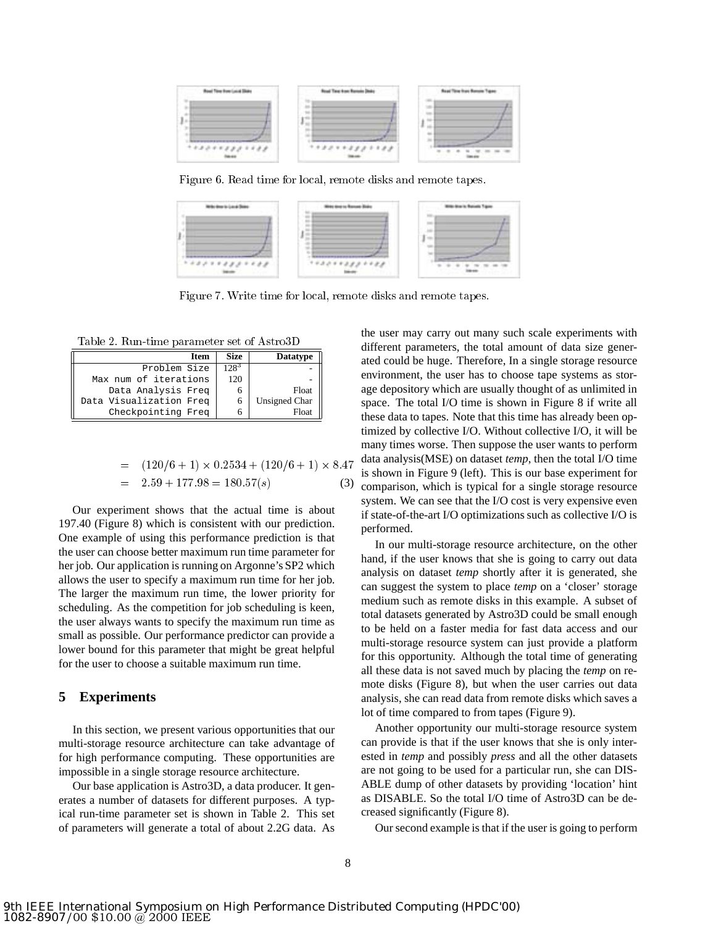

Figure 6. Read time for local, remote disks and remote tapes.



Figure 7. Write time for local, remote disks and remote tapes.

Table 2. Run-time parameter set of Astro3D

| <b>Item</b>             | <b>Size</b> | <b>Datatype</b> |
|-------------------------|-------------|-----------------|
| Problem Size            | 1283        |                 |
| Max num of iterations   | 120         |                 |
| Data Analysis Freq      | n           | Float           |
| Data Visualization Freq | 6           | Unsigned Char   |
| Checkpointing Freq      |             | Float           |

$$
= (120/6 + 1) \times 0.2534 + (120/6 + 1) \times 8.47
$$
 is show  
= 2.59 + 177.98 = 180.57(s) (3)   
compar

Our experiment shows that the actual time is about 197.40 (Figure 8) which is consistent with our prediction. One example of using this performance prediction is that the user can choose better maximum run time parameter for her job. Our application is running on Argonne's SP2 which allows the user to specify a maximum run time for her job. The larger the maximum run time, the lower priority for scheduling. As the competition for job scheduling is keen, the user always wants to specify the maximum run time as small as possible. Our performance predictor can provide a lower bound for this parameter that might be great helpful for the user to choose a suitable maximum run time.

## **5 Experiments**

In this section, we present various opportunities that our multi-storage resource architecture can take advantage of for high performance computing. These opportunities are impossible in a single storage resource architecture.

Our base application is Astro3D, a data producer. It generates a number of datasets for different purposes. A typical run-time parameter set is shown in Table 2. This set of parameters will generate a total of about 2.2G data. As the user may carry out many such scale experiments with different parameters, the total amount of data size generated could be huge. Therefore, In a single storage resource environment, the user has to choose tape systems as storage depository which are usually thought of as unlimited in space. The total I/O time is shown in Figure 8 if write all these data to tapes. Note that this time has already been optimized by collective I/O. Without collective I/O, it will be many times worse. Then suppose the user wants to perform data analysis(MSE) on dataset *temp*, then the total I/O time is shown in Figure 9 (left). This is our base experiment for comparison, which is typical for a single storage resource system. We can see that the I/O cost is very expensive even if state-of-the-art I/O optimizations such as collective I/O is performed.

In our multi-storage resource architecture, on the other hand, if the user knows that she is going to carry out data analysis on dataset *temp* shortly after it is generated, she can suggest the system to place *temp* on a 'closer' storage medium such as remote disks in this example. A subset of total datasets generated by Astro3D could be small enough to be held on a faster media for fast data access and our multi-storage resource system can just provide a platform for this opportunity. Although the total time of generating all these data is not saved much by placing the *temp* on remote disks (Figure 8), but when the user carries out data analysis, she can read data from remote disks which saves a lot of time compared to from tapes (Figure 9).

Another opportunity our multi-storage resource system can provide is that if the user knows that she is only interested in *temp* and possibly *press* and all the other datasets are not going to be used for a particular run, she can DIS-ABLE dump of other datasets by providing 'location' hint as DISABLE. So the total I/O time of Astro3D can be decreased significantly (Figure 8).

Our second example is that if the user is going to perform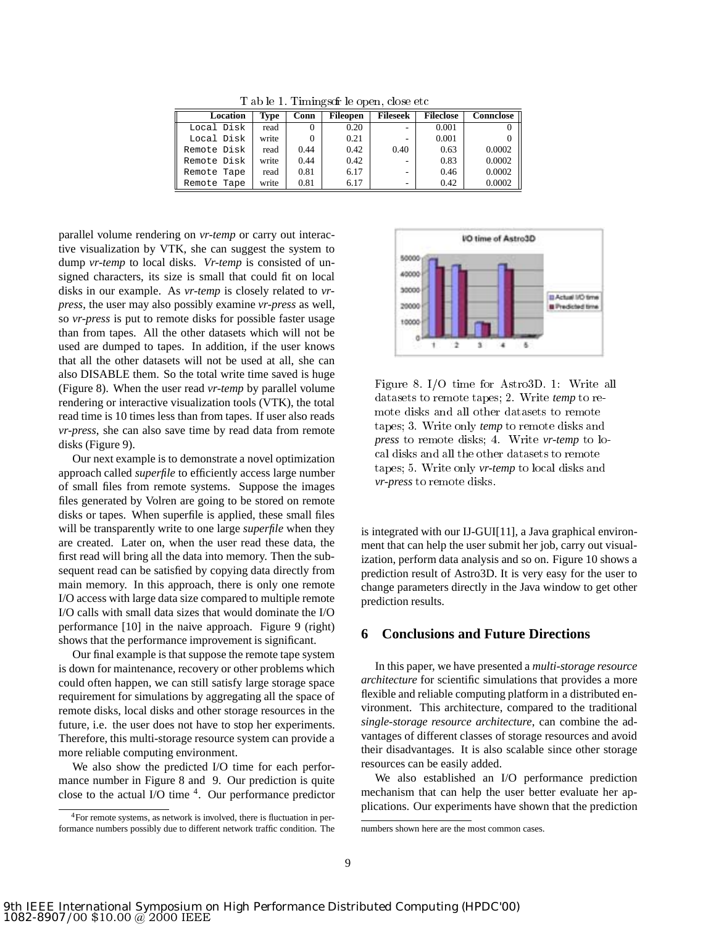T ab le 1. Timings of le open, close etc

| Location    | Type  | Conn | <b>Fileopen</b> | <b>Fileseek</b>          | <b>Fileclose</b> | <b>Connclose</b> |
|-------------|-------|------|-----------------|--------------------------|------------------|------------------|
| Local Disk  | read  |      | 0.20            | $\overline{\phantom{a}}$ | 0.001            |                  |
| Local Disk  | write |      | 0.21            |                          | 0.001            |                  |
| Remote Disk | read  | 0.44 | 0.42            | 0.40                     | 0.63             | 0.0002           |
| Remote Disk | write | 0.44 | 0.42            |                          | 0.83             | 0.0002           |
| Remote Tape | read  | 0.81 | 6.17            | $\overline{\phantom{a}}$ | 0.46             | 0.0002           |
| Remote Tape | write | 0.81 | 6.17            | -                        | 0.42             | 0.0002           |

parallel volume rendering on *vr-temp* or carry out interactive visualization by VTK, she can suggest the system to dump *vr-temp* to local disks. *Vr-temp* is consisted of unsigned characters, its size is small that could fit on local disks in our example. As *vr-temp* is closely related to *vrpress*, the user may also possibly examine *vr-press* as well, so *vr-press* is put to remote disks for possible faster usage than from tapes. All the other datasets which will not be used are dumped to tapes. In addition, if the user knows that all the other datasets will not be used at all, she can also DISABLE them. So the total write time saved is huge (Figure 8). When the user read *vr-temp* by parallel volume rendering or interactive visualization tools (VTK), the total read time is 10 times less than from tapes. If user also reads *vr-press*, she can also save time by read data from remote disks (Figure 9).

Our next example is to demonstrate a novel optimization approach called *superfile* to efficiently access large number of small files from remote systems. Suppose the images files generated by Volren are going to be stored on remote disks or tapes. When superfile is applied, these small files will be transparently write to one large *superfile* when they are created. Later on, when the user read these data, the first read will bring all the data into memory. Then the subsequent read can be satisfied by copying data directly from main memory. In this approach, there is only one remote I/O access with large data size compared to multiple remote I/O calls with small data sizes that would dominate the I/O performance [10] in the naive approach. Figure 9 (right) shows that the performance improvement is significant.

Our final example is that suppose the remote tape system is down for maintenance, recovery or other problems which could often happen, we can still satisfy large storage space requirement for simulations by aggregating all the space of remote disks, local disks and other storage resources in the future, i.e. the user does not have to stop her experiments. Therefore, this multi-storage resource system can provide a more reliable computing environment.

We also show the predicted I/O time for each performance number in Figure 8 and 9. Our prediction is quite close to the actual I/O time 4. Our performance predictor



Figure 8.I/O time for Astro3D. 1: Write all datasets to remote tapes; 2. Write *temp* to remote disks and all other datasets to remote tapes; 3. Write only *temp* to remote disks and *press* to remote disks; 4. Write *vr-temp* to local disks and all the other datasets to remote tapes; 5. Write only *vr-temp* to local disks and *vr-press* to remote disks.

is integrated with our IJ-GUI[11], a Java graphical environment that can help the user submit her job, carry out visualization, perform data analysis and so on. Figure 10 shows a prediction result of Astro3D. It is very easy for the user to change parameters directly in the Java window to get other prediction results.

# **6 Conclusions and Future Directions**

In this paper, we have presented a *multi-storage resource architecture* for scientific simulations that provides a more flexible and reliable computing platform in a distributed environment. This architecture, compared to the traditional *single-storage resource architecture*, can combine the advantages of different classes of storage resources and avoid their disadvantages. It is also scalable since other storage resources can be easily added.

We also established an I/O performance prediction mechanism that can help the user better evaluate her applications. Our experiments have shown that the prediction

<sup>4</sup>For remote systems, as network is involved, there is fluctuation in performance numbers possibly due to different network traffic condition. The

numbers shown here are the most common cases.